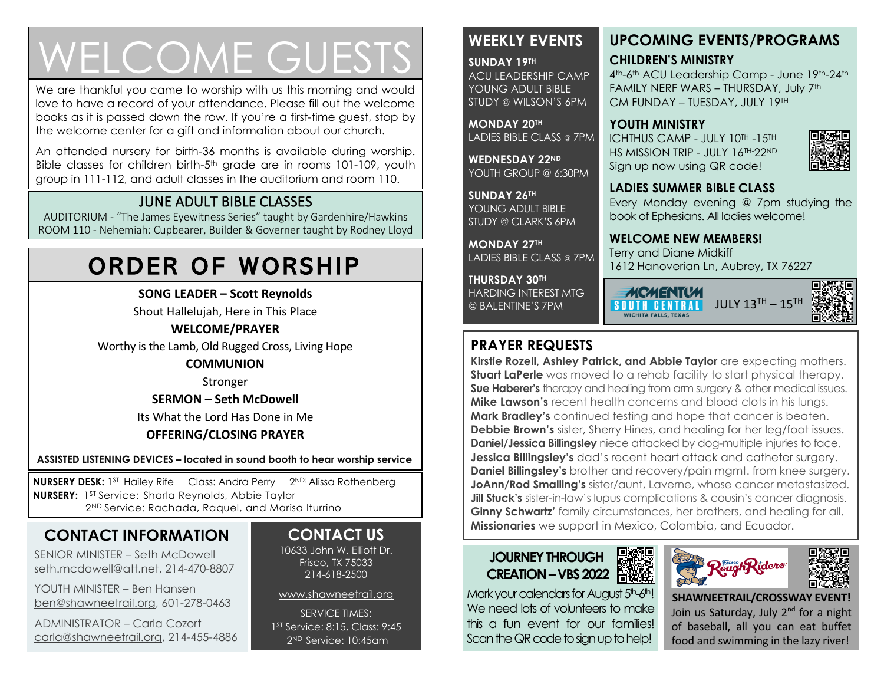# WELCOME GUESTS

We are thankful you came to worship with us this morning and would love to have a record of your attendance. Please fill out the welcome books as it is passed down the row. If you're a first-time guest, stop by the welcome center for a gift and information about our church.

An attended nursery for birth-36 months is available during worship. Bible classes for children birth-5<sup>th</sup> grade are in rooms 101-109, youth group in 111-112, and adult classes in the auditorium and room 110.

### JUNE ADULT BIBLE CLASSES

AUDITORIUM - "The James Eyewitness Series" taught by Gardenhire/Hawkins ROOM 110 - Nehemiah: Cupbearer, Builder & Governer taught by Rodney Lloyd

# ORDER OF WORSHIP

**SONG LEADER – Scott Reynolds**

Shout Hallelujah, Here in This Place

### **WELCOME/PRAYER**

Worthy is the Lamb, Old Rugged Cross, Living Hope

#### **COMMUNION**

Stronger

**SERMON – Seth McDowell**

Its What the Lord Has Done in Me

### **OFFERING/CLOSING PRAYER**

**ASSISTED LISTENING DEVICES – located in sound booth to hear worship service**

**NURSERY DESK:** 1<sup>st:</sup> Hailey Rife Class: Andra Perry 2<sup>ND:</sup> Alissa Rothenberg **NURSERY:** 1 ST Service: Sharla Reynolds, Abbie Taylor 2<sup>ND</sup> Service: Rachada, Raquel, and Marisa Iturrino

### **CONTACT INFORMATION**

SENIOR MINISTER – Seth McDowell [seth.mcdowell@att.net,](mailto:seth.mcdowell@att.net) 214-470-8807

YOUTH MINISTER – Ben Hansen [ben@shawneetrail.org,](mailto:ben@shawneetrail.org) 601-278-0463

ADMINISTRATOR – Carla Cozort [carla@shawneetrail.org,](mailto:carla@shawneetrail.org) 214-455-4886

### **CONTACT US**

10633 John W. Elliott Dr. Frisco, TX 75033 214-618-2500

[www.shawneetrail.org](http://www.shawneetrail.org/)

SERVICE TIMES: 1 ST Service: 8:15, Class: 9:45 2 ND Service: 10:45am

### **WEEKLY EVENTS**

**SUNDAY 19TH**  ACU LEADERSHIP CAMP YOUNG ADULT BIBLE STUDY @ WILSON'S 6PM

**MONDAY 20TH** LADIES BIBLE CLASS @ 7PM

**WEDNESDAY 22ND** YOUTH GROUP @ 6:30PM

**SUNDAY 26TH**  YOUNG ADULT BIBLE STUDY @ CLARK'S 6PM

**MONDAY 27TH** LADIES BIBLE CLASS @ 7PM

**THURSDAY 30TH**

HARDING INTEREST MTG @ BALENTINE'S 7PM

### **PRAYER REQUESTS**

**Kirstie Rozell, Ashley Patrick, and Abbie Taylor** are expecting mothers. **Stuart LaPerle** was moved to a rehab facility to start physical therapy. **Sue Haberer's** therapy and healing from arm surgery & other medical issues. **Mike Lawson's** recent health concerns and blood clots in his lungs. **Mark Bradley's** continued testing and hope that cancer is beaten. **Debbie Brown's** sister, Sherry Hines, and healing for her leg/foot issues. **Daniel/Jessica Billingsley** niece attacked by dog-multiple injuries to face. **Jessica Billingsley's** dad's recent heart attack and catheter surgery. **Daniel Billingsley's** brother and recovery/pain mgmt. from knee surgery. **JoAnn/Rod Smalling's** sister/aunt, Laverne, whose cancer metastasized. **Jill Stuck's** sister-in-law's lupus complications & cousin's cancer diagnosis. **Ginny Schwartz'** family circumstances, her brothers, and healing for all. **Missionaries** we support in Mexico, Colombia, and Ecuador.

### **JOURNEYTHROUGH CREATION–VBS 2022**

Mark your calendars for August 5th-6th! We need lots of volunteers to make this a fun event for our families! Scan the QR code to sign up to help!





 **SHAWNEETRAIL/CROSSWAY EVENT!** Join us Saturday, July 2<sup>nd</sup> for a night of baseball, all you can eat buffet food and swimming in the lazy river!



## CM FUNDAY – TUESDAY, JULY 19TH **YOUTH MINISTRY**

**UPCOMING EVENTS/PROGRAMS**

4<sup>th</sup>-6<sup>th</sup> ACU Leadership Camp - June 19<sup>th</sup>-24<sup>th</sup> FAMILY NERF WARS – THURSDAY, July 7th

ICHTHUS CAMP - JULY 10TH -15TH HS MISSION TRIP - JULY 16TH-22ND Sign up now using QR code!

**CHILDREN'S MINISTRY**



Every Monday evening @ 7pm studying the book of Ephesians. All ladies welcome!

**WELCOME NEW MEMBERS!**

**MCMENT(M** 

WICHITA FALLS, TEXAS

Terry and Diane Midkiff 1612 Hanoverian Ln, Aubrey, TX 76227

 **SOUTH CENTRAL** JULY 13TH - 15TH